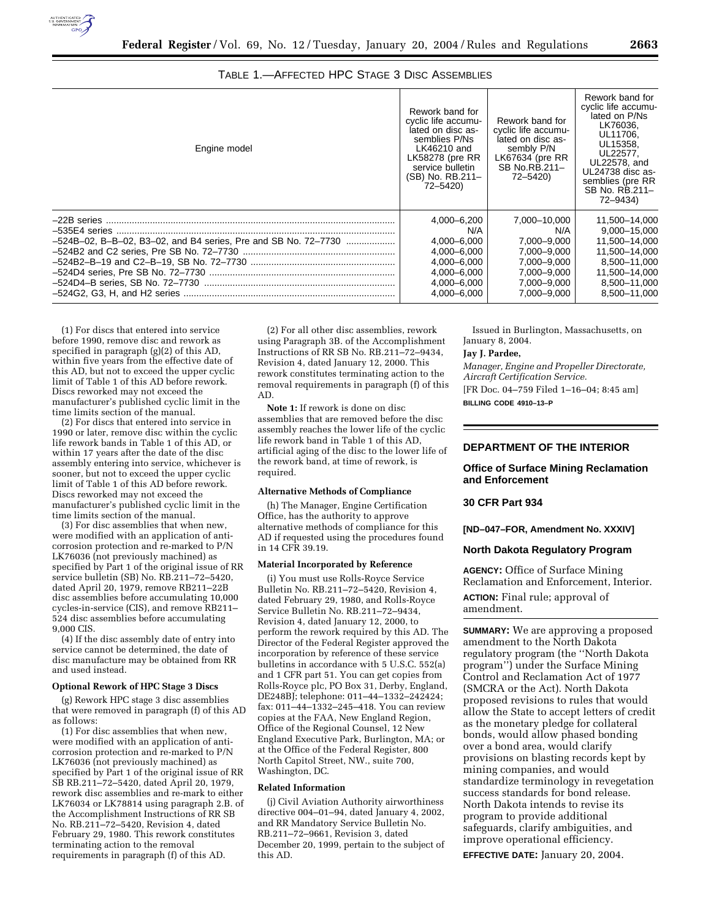

| TABLE 1.—AFFECTED HPC STAGE 3 DISC ASSEMBLIES |
|-----------------------------------------------|
|-----------------------------------------------|

| Engine model                                                   | Rework band for<br>cyclic life accumu-<br>lated on disc as-<br>semblies P/Ns<br>LK46210 and<br><b>LK58278 (pre RR</b><br>service bulletin<br>(SB) No. RB.211-<br>72-5420) | Rework band for<br>cyclic life accumu-<br>lated on disc as-<br>sembly P/N<br>$LK67634$ (pre RR<br>SB No.RB.211-<br>72-5420) | Rework band for<br>cyclic life accumu-<br>lated on P/Ns<br>LK76036.<br>UL11706.<br>UL15358.<br>UL22577.<br>UL22578, and<br>UL24738 disc as-<br>semblies (pre RR<br>SB No. RB.211-<br>72-9434) |
|----------------------------------------------------------------|---------------------------------------------------------------------------------------------------------------------------------------------------------------------------|-----------------------------------------------------------------------------------------------------------------------------|-----------------------------------------------------------------------------------------------------------------------------------------------------------------------------------------------|
|                                                                | 4,000-6,200                                                                                                                                                               | 7,000-10,000                                                                                                                | 11,500-14,000                                                                                                                                                                                 |
|                                                                | N/A                                                                                                                                                                       | N/A                                                                                                                         | 9.000-15.000                                                                                                                                                                                  |
| -524B-02, B-B-02, B3-02, and B4 series, Pre and SB No. 72-7730 | 4.000-6.000                                                                                                                                                               | 7.000-9.000                                                                                                                 | 11.500-14.000                                                                                                                                                                                 |
|                                                                | 4,000-6,000                                                                                                                                                               | 7.000-9.000                                                                                                                 | 11,500-14,000                                                                                                                                                                                 |
|                                                                | 4.000-6.000                                                                                                                                                               | 7.000-9.000                                                                                                                 | 8.500-11.000                                                                                                                                                                                  |
|                                                                | 4.000-6.000                                                                                                                                                               | 7.000-9.000                                                                                                                 | 11.500-14.000                                                                                                                                                                                 |
|                                                                | 4.000-6.000                                                                                                                                                               | 7.000-9.000                                                                                                                 | 8.500-11.000                                                                                                                                                                                  |
|                                                                | 4.000-6.000                                                                                                                                                               | 7.000-9.000                                                                                                                 | 8.500-11.000                                                                                                                                                                                  |

(1) For discs that entered into service before 1990, remove disc and rework as specified in paragraph (g)(2) of this AD, within five years from the effective date of this AD, but not to exceed the upper cyclic limit of Table 1 of this AD before rework. Discs reworked may not exceed the manufacturer's published cyclic limit in the time limits section of the manual.

(2) For discs that entered into service in 1990 or later, remove disc within the cyclic life rework bands in Table 1 of this AD, or within 17 years after the date of the disc assembly entering into service, whichever is sooner, but not to exceed the upper cyclic limit of Table 1 of this AD before rework. Discs reworked may not exceed the manufacturer's published cyclic limit in the time limits section of the manual.

(3) For disc assemblies that when new, were modified with an application of anticorrosion protection and re-marked to P/N LK76036 (not previously machined) as specified by Part 1 of the original issue of RR service bulletin (SB) No. RB.211-72-5420, dated April 20, 1979, remove RB211–22B disc assemblies before accumulating 10,000 cycles-in-service (CIS), and remove RB211– 524 disc assemblies before accumulating 9,000 CIS.

(4) If the disc assembly date of entry into service cannot be determined, the date of disc manufacture may be obtained from RR and used instead.

#### **Optional Rework of HPC Stage 3 Discs**

(g) Rework HPC stage 3 disc assemblies that were removed in paragraph (f) of this AD as follows:

(1) For disc assemblies that when new, were modified with an application of anticorrosion protection and re-marked to P/N LK76036 (not previously machined) as specified by Part 1 of the original issue of RR SB RB.211–72–5420, dated April 20, 1979, rework disc assemblies and re-mark to either LK76034 or LK78814 using paragraph 2.B. of the Accomplishment Instructions of RR SB No. RB.211–72–5420, Revision 4, dated February 29, 1980. This rework constitutes terminating action to the removal requirements in paragraph (f) of this AD.

(2) For all other disc assemblies, rework using Paragraph 3B. of the Accomplishment Instructions of RR SB No. RB.211–72–9434, Revision 4, dated January 12, 2000. This rework constitutes terminating action to the removal requirements in paragraph (f) of this AD.

**Note 1:** If rework is done on disc assemblies that are removed before the disc assembly reaches the lower life of the cyclic life rework band in Table 1 of this AD, artificial aging of the disc to the lower life of the rework band, at time of rework, is required.

# **Alternative Methods of Compliance**

(h) The Manager, Engine Certification Office, has the authority to approve alternative methods of compliance for this AD if requested using the procedures found in 14 CFR 39.19.

#### **Material Incorporated by Reference**

(i) You must use Rolls-Royce Service Bulletin No. RB.211–72–5420, Revision 4, dated February 29, 1980, and Rolls-Royce Service Bulletin No. RB.211–72–9434, Revision 4, dated January 12, 2000, to perform the rework required by this AD. The Director of the Federal Register approved the incorporation by reference of these service bulletins in accordance with 5 U.S.C. 552(a) and 1 CFR part 51. You can get copies from Rolls-Royce plc, PO Box 31, Derby, England, DE248BJ; telephone: 011–44–1332–242424; fax: 011–44–1332–245–418. You can review copies at the FAA, New England Region, Office of the Regional Counsel, 12 New England Executive Park, Burlington, MA; or at the Office of the Federal Register, 800 North Capitol Street, NW., suite 700, Washington, DC.

#### **Related Information**

(j) Civil Aviation Authority airworthiness directive 004–01–94, dated January 4, 2002, and RR Mandatory Service Bulletin No. RB.211–72–9661, Revision 3, dated December 20, 1999, pertain to the subject of this AD.

Issued in Burlington, Massachusetts, on January 8, 2004.

#### **Jay J. Pardee,**

*Manager, Engine and Propeller Directorate, Aircraft Certification Service.*

[FR Doc. 04–759 Filed 1–16–04; 8:45 am] **BILLING CODE 4910–13–P**

# **DEPARTMENT OF THE INTERIOR**

## **Office of Surface Mining Reclamation and Enforcement**

#### **30 CFR Part 934**

#### **[ND–047–FOR, Amendment No. XXXIV]**

## **North Dakota Regulatory Program**

**AGENCY:** Office of Surface Mining Reclamation and Enforcement, Interior. **ACTION:** Final rule; approval of amendment.

**SUMMARY:** We are approving a proposed amendment to the North Dakota regulatory program (the ''North Dakota program'') under the Surface Mining Control and Reclamation Act of 1977 (SMCRA or the Act). North Dakota proposed revisions to rules that would allow the State to accept letters of credit as the monetary pledge for collateral bonds, would allow phased bonding over a bond area, would clarify provisions on blasting records kept by mining companies, and would standardize terminology in revegetation success standards for bond release. North Dakota intends to revise its program to provide additional safeguards, clarify ambiguities, and improve operational efficiency. **EFFECTIVE DATE:** January 20, 2004.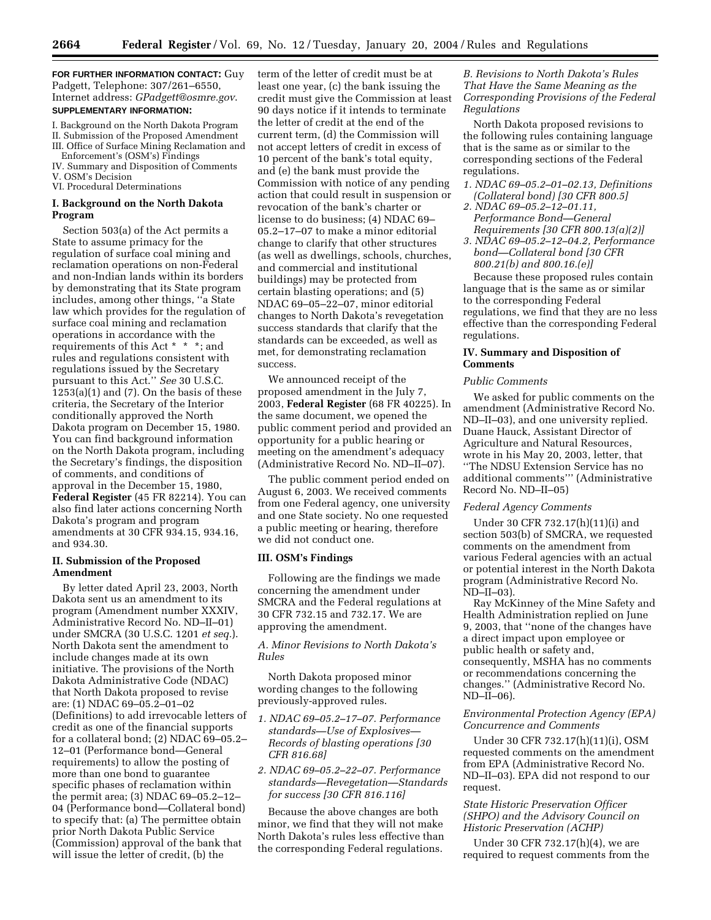**FOR FURTHER INFORMATION CONTACT:** Guy Padgett, Telephone: 307/261–6550, Internet address: *GPadgett@osmre.gov*. **SUPPLEMENTARY INFORMATION:**

- I. Background on the North Dakota Program II. Submission of the Proposed Amendment
- III. Office of Surface Mining Reclamation and
- Enforcement's (OSM's) Findings
- IV. Summary and Disposition of Comments V. OSM's Decision
- VI. Procedural Determinations

#### **I. Background on the North Dakota Program**

Section 503(a) of the Act permits a State to assume primacy for the regulation of surface coal mining and reclamation operations on non-Federal and non-Indian lands within its borders by demonstrating that its State program includes, among other things, ''a State law which provides for the regulation of surface coal mining and reclamation operations in accordance with the requirements of this Act \* \* \*; and rules and regulations consistent with regulations issued by the Secretary pursuant to this Act.'' *See* 30 U.S.C.  $1253(a)(1)$  and  $(7)$ . On the basis of these criteria, the Secretary of the Interior conditionally approved the North Dakota program on December 15, 1980. You can find background information on the North Dakota program, including the Secretary's findings, the disposition of comments, and conditions of approval in the December 15, 1980, **Federal Register** (45 FR 82214). You can also find later actions concerning North Dakota's program and program amendments at 30 CFR 934.15, 934.16, and 934.30.

## **II. Submission of the Proposed Amendment**

By letter dated April 23, 2003, North Dakota sent us an amendment to its program (Amendment number XXXIV, Administrative Record No. ND–II–01) under SMCRA (30 U.S.C. 1201 *et seq.*). North Dakota sent the amendment to include changes made at its own initiative. The provisions of the North Dakota Administrative Code (NDAC) that North Dakota proposed to revise are: (1) NDAC 69–05.2–01–02 (Definitions) to add irrevocable letters of credit as one of the financial supports for a collateral bond; (2) NDAC 69–05.2– 12–01 (Performance bond—General requirements) to allow the posting of more than one bond to guarantee specific phases of reclamation within the permit area; (3) NDAC 69–05.2–12– 04 (Performance bond—Collateral bond) to specify that: (a) The permittee obtain prior North Dakota Public Service (Commission) approval of the bank that will issue the letter of credit, (b) the

term of the letter of credit must be at least one year, (c) the bank issuing the credit must give the Commission at least 90 days notice if it intends to terminate the letter of credit at the end of the current term, (d) the Commission will not accept letters of credit in excess of 10 percent of the bank's total equity, and (e) the bank must provide the Commission with notice of any pending action that could result in suspension or revocation of the bank's charter or license to do business; (4) NDAC 69– 05.2–17–07 to make a minor editorial change to clarify that other structures (as well as dwellings, schools, churches, and commercial and institutional buildings) may be protected from certain blasting operations; and (5) NDAC 69–05–22–07, minor editorial changes to North Dakota's revegetation success standards that clarify that the standards can be exceeded, as well as met, for demonstrating reclamation success.

We announced receipt of the proposed amendment in the July 7, 2003, **Federal Register** (68 FR 40225). In the same document, we opened the public comment period and provided an opportunity for a public hearing or meeting on the amendment's adequacy (Administrative Record No. ND–II–07).

The public comment period ended on August 6, 2003. We received comments from one Federal agency, one university and one State society. No one requested a public meeting or hearing, therefore we did not conduct one.

#### **III. OSM's Findings**

Following are the findings we made concerning the amendment under SMCRA and the Federal regulations at 30 CFR 732.15 and 732.17. We are approving the amendment.

# *A. Minor Revisions to North Dakota's Rules*

North Dakota proposed minor wording changes to the following previously-approved rules.

- *1. NDAC 69–05.2–17–07. Performance standards—Use of Explosives— Records of blasting operations [30 CFR 816.68]*
- *2. NDAC 69–05.2–22–07. Performance standards—Revegetation—Standards for success [30 CFR 816.116]*

Because the above changes are both minor, we find that they will not make North Dakota's rules less effective than the corresponding Federal regulations.

# *B. Revisions to North Dakota's Rules That Have the Same Meaning as the Corresponding Provisions of the Federal Regulations*

North Dakota proposed revisions to the following rules containing language that is the same as or similar to the corresponding sections of the Federal regulations.

- *1. NDAC 69–05.2–01–02.13, Definitions (Collateral bond) [30 CFR 800.5]*
- *2. NDAC 69–05.2–12–01.11, Performance Bond—General Requirements [30 CFR 800.13(a)(2)]*
- *3. NDAC 69–05.2–12–04.2, Performance bond—Collateral bond [30 CFR 800.21(b) and 800.16.(e)]*

Because these proposed rules contain language that is the same as or similar to the corresponding Federal regulations, we find that they are no less effective than the corresponding Federal regulations.

## **IV. Summary and Disposition of Comments**

## *Public Comments*

We asked for public comments on the amendment (Administrative Record No. ND–II–03), and one university replied. Duane Hauck, Assistant Director of Agriculture and Natural Resources, wrote in his May 20, 2003, letter, that ''The NDSU Extension Service has no additional comments''' (Administrative Record No. ND–II–05)

#### *Federal Agency Comments*

Under 30 CFR 732.17(h)(11)(i) and section 503(b) of SMCRA, we requested comments on the amendment from various Federal agencies with an actual or potential interest in the North Dakota program (Administrative Record No.  $\overline{ND}-II-03$ ).

Ray McKinney of the Mine Safety and Health Administration replied on June 9, 2003, that ''none of the changes have a direct impact upon employee or public health or safety and, consequently, MSHA has no comments or recommendations concerning the changes.'' (Administrative Record No. ND–II–06).

# *Environmental Protection Agency (EPA) Concurrence and Comments*

Under 30 CFR 732.17(h)(11)(i), OSM requested comments on the amendment from EPA (Administrative Record No. ND–II–03). EPA did not respond to our request.

## *State Historic Preservation Officer (SHPO) and the Advisory Council on Historic Preservation (ACHP)*

Under 30 CFR 732.17(h)(4), we are required to request comments from the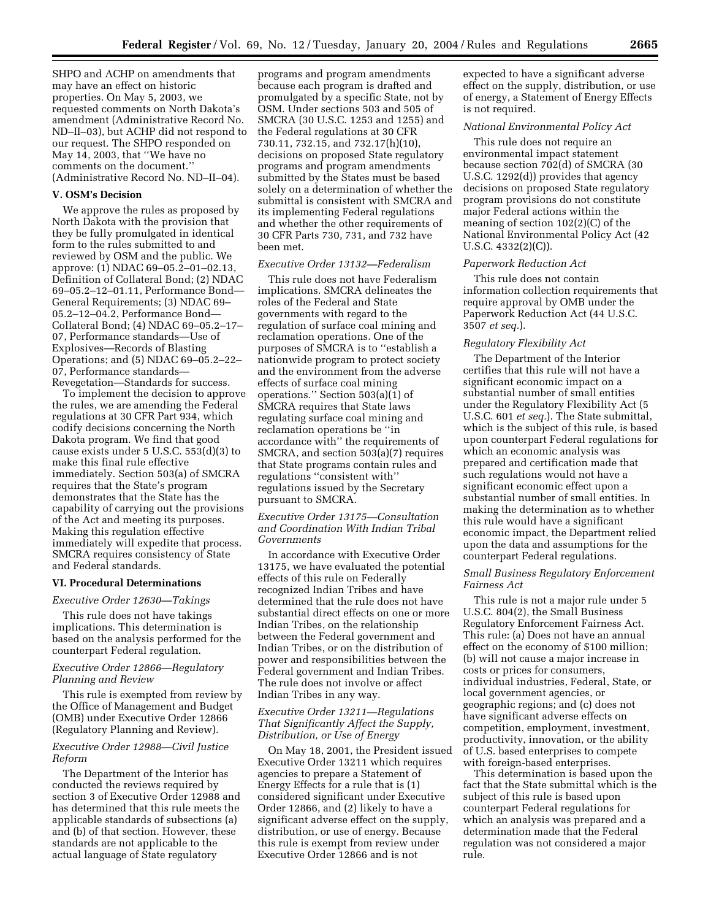SHPO and ACHP on amendments that may have an effect on historic properties. On May 5, 2003, we requested comments on North Dakota's amendment (Administrative Record No. ND–II–03), but ACHP did not respond to our request. The SHPO responded on May 14, 2003, that ''We have no comments on the document.'' (Administrative Record No. ND–II–04).

#### **V. OSM's Decision**

We approve the rules as proposed by North Dakota with the provision that they be fully promulgated in identical form to the rules submitted to and reviewed by OSM and the public. We approve: (1) NDAC 69–05.2–01–02.13, Definition of Collateral Bond; (2) NDAC 69–05.2–12–01.11, Performance Bond— General Requirements; (3) NDAC 69– 05.2–12–04.2, Performance Bond— Collateral Bond; (4) NDAC 69–05.2–17– 07, Performance standards—Use of Explosives—Records of Blasting Operations; and (5) NDAC 69–05.2–22– 07, Performance standards— Revegetation—Standards for success.

To implement the decision to approve the rules, we are amending the Federal regulations at 30 CFR Part 934, which codify decisions concerning the North Dakota program. We find that good cause exists under 5 U.S.C. 553(d)(3) to make this final rule effective immediately. Section 503(a) of SMCRA requires that the State's program demonstrates that the State has the capability of carrying out the provisions of the Act and meeting its purposes. Making this regulation effective immediately will expedite that process. SMCRA requires consistency of State and Federal standards.

#### **VI. Procedural Determinations**

#### *Executive Order 12630—Takings*

This rule does not have takings implications. This determination is based on the analysis performed for the counterpart Federal regulation.

#### *Executive Order 12866—Regulatory Planning and Review*

This rule is exempted from review by the Office of Management and Budget (OMB) under Executive Order 12866 (Regulatory Planning and Review).

#### *Executive Order 12988—Civil Justice Reform*

The Department of the Interior has conducted the reviews required by section 3 of Executive Order 12988 and has determined that this rule meets the applicable standards of subsections (a) and (b) of that section. However, these standards are not applicable to the actual language of State regulatory

programs and program amendments because each program is drafted and promulgated by a specific State, not by OSM. Under sections 503 and 505 of SMCRA (30 U.S.C. 1253 and 1255) and the Federal regulations at 30 CFR 730.11, 732.15, and 732.17(h)(10), decisions on proposed State regulatory programs and program amendments submitted by the States must be based solely on a determination of whether the submittal is consistent with SMCRA and its implementing Federal regulations and whether the other requirements of 30 CFR Parts 730, 731, and 732 have been met.

#### *Executive Order 13132—Federalism*

This rule does not have Federalism implications. SMCRA delineates the roles of the Federal and State governments with regard to the regulation of surface coal mining and reclamation operations. One of the purposes of SMCRA is to ''establish a nationwide program to protect society and the environment from the adverse effects of surface coal mining operations.'' Section 503(a)(1) of SMCRA requires that State laws regulating surface coal mining and reclamation operations be ''in accordance with'' the requirements of SMCRA, and section 503(a)(7) requires that State programs contain rules and regulations ''consistent with'' regulations issued by the Secretary pursuant to SMCRA.

# *Executive Order 13175—Consultation and Coordination With Indian Tribal Governments*

In accordance with Executive Order 13175, we have evaluated the potential effects of this rule on Federally recognized Indian Tribes and have determined that the rule does not have substantial direct effects on one or more Indian Tribes, on the relationship between the Federal government and Indian Tribes, or on the distribution of power and responsibilities between the Federal government and Indian Tribes. The rule does not involve or affect Indian Tribes in any way.

# *Executive Order 13211—Regulations That Significantly Affect the Supply, Distribution, or Use of Energy*

On May 18, 2001, the President issued Executive Order 13211 which requires agencies to prepare a Statement of Energy Effects for a rule that is (1) considered significant under Executive Order 12866, and (2) likely to have a significant adverse effect on the supply, distribution, or use of energy. Because this rule is exempt from review under Executive Order 12866 and is not

expected to have a significant adverse effect on the supply, distribution, or use of energy, a Statement of Energy Effects is not required.

#### *National Environmental Policy Act*

This rule does not require an environmental impact statement because section 702(d) of SMCRA (30 U.S.C. 1292(d)) provides that agency decisions on proposed State regulatory program provisions do not constitute major Federal actions within the meaning of section 102(2)(C) of the National Environmental Policy Act (42 U.S.C. 4332(2)(C)).

#### *Paperwork Reduction Act*

This rule does not contain information collection requirements that require approval by OMB under the Paperwork Reduction Act (44 U.S.C. 3507 *et seq.*).

## *Regulatory Flexibility Act*

The Department of the Interior certifies that this rule will not have a significant economic impact on a substantial number of small entities under the Regulatory Flexibility Act (5 U.S.C. 601 *et seq.*). The State submittal, which is the subject of this rule, is based upon counterpart Federal regulations for which an economic analysis was prepared and certification made that such regulations would not have a significant economic effect upon a substantial number of small entities. In making the determination as to whether this rule would have a significant economic impact, the Department relied upon the data and assumptions for the counterpart Federal regulations.

## *Small Business Regulatory Enforcement Fairness Act*

This rule is not a major rule under 5 U.S.C. 804(2), the Small Business Regulatory Enforcement Fairness Act. This rule: (a) Does not have an annual effect on the economy of \$100 million; (b) will not cause a major increase in costs or prices for consumers, individual industries, Federal, State, or local government agencies, or geographic regions; and (c) does not have significant adverse effects on competition, employment, investment, productivity, innovation, or the ability of U.S. based enterprises to compete with foreign-based enterprises.

This determination is based upon the fact that the State submittal which is the subject of this rule is based upon counterpart Federal regulations for which an analysis was prepared and a determination made that the Federal regulation was not considered a major rule.